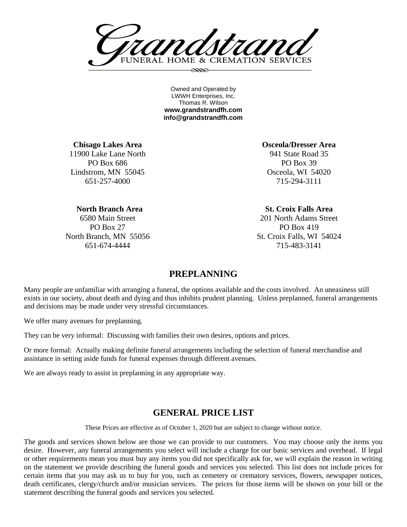FUNERAL HOME & CREMATION SERVICES  $\infty$ 

Owned and Operated by LWWH Enterprises, Inc. Thomas R. Wilson **www.grandstrandfh.com info@grandstrandfh.com**

**Chisago Lakes Area** 11900 Lake Lane North PO Box 686 Lindstrom, MN 55045 651-257-4000

**Osceola/Dresser Area** 941 State Road 35 PO Box 39 Osceola, WI 54020 715-294-3111

**St. Croix Falls Area** 201 North Adams Street PO Box 419 St. Croix Falls, WI 54024 715-483-3141

# **PREPLANNING**

Many people are unfamiliar with arranging a funeral, the options available and the costs involved. An uneasiness still exists in our society, about death and dying and thus inhibits prudent planning. Unless preplanned, funeral arrangements and decisions may be made under very stressful circumstances.

We offer many avenues for preplanning.

They can be very informal: Discussing with families their own desires, options and prices.

Or more formal: Actually making definite funeral arrangements including the selection of funeral merchandise and assistance in setting aside funds for funeral expenses through different avenues.

We are always ready to assist in preplanning in any appropriate way.

## **GENERAL PRICE LIST**

These Prices are effective as of October 1, 2020 but are subject to change without notice.

The goods and services shown below are those we can provide to our customers. You may choose only the items you desire. However, any funeral arrangements you select will include a charge for our basic services and overhead. If legal or other requirements mean you must buy any items you did not specifically ask for, we will explain the reason in writing on the statement we provide describing the funeral goods and services you selected. This list does not include prices for certain items that you may ask us to buy for you, such as cemetery or crematory services, flowers, newspaper notices, death certificates, clergy/church and/or musician services. The prices for those items will be shown on your bill or the statement describing the funeral goods and services you selected.

 **North Branch Area** 6580 Main Street PO Box 27 North Branch, MN 55056

651-674-4444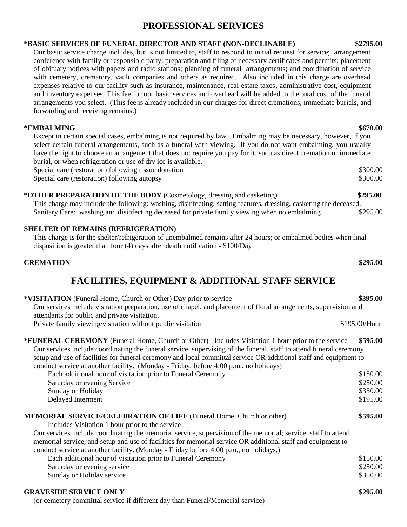# **PROFESSIONAL SERVICES**

## **\*BASIC SERVICES OF FUNERAL DIRECTOR AND STAFF (NON-DECLINABLE) \$2795.00**

Our basic service charge includes, but is not limited to, staff to respond to initial request for service; arrangement conference with family or responsible party; preparation and filing of necessary certificates and permits; placement of obituary notices with papers and radio stations; planning of funeral arrangements; and coordination of service with cemetery, crematory, vault companies and others as required. Also included in this charge are overhead expenses relative to our facility such as insurance, maintenance, real estate taxes, administrative cost, equipment and inventory expenses. This fee for our basic services and overhead will be added to the total cost of the funeral arrangements you select. (This fee is already included in our charges for direct cremations, immediate burials, and forwarding and receiving remains.)

## **\*EMBALMING \$670.00**

Except in certain special cases, embalming is not required by law. Embalming may be necessary, however, if you select certain funeral arrangements, such as a funeral with viewing. If you do not want embalming, you usually have the right to choose an arrangement that does not require you pay for it, such as direct cremation or immediate burial, or when refrigeration or use of dry ice is available. Special care (restoration) following tissue donation  $$300.00$ 

Special care (restoration) following autopsy  $$300.00$ 

## **\*OTHER PREPARATION OF THE BODY** (Cosmetology, dressing and casketing) **\$295.00**

This charge may include the following: washing, disinfecting, setting features, dressing, casketing the deceased. Sanitary Care: washing and disinfecting deceased for private family viewing when no embalming \$295.00

## **SHELTER OF REMAINS (REFRIGERATION)**

This charge is for the shelter/refrigeration of unembalmed remains after 24 hours; or embalmed bodies when final disposition is greater than four (4) days after death notification - \$100/Day

## **CREMATION \$295.00**

# **FACILITIES, EQUIPMENT & ADDITIONAL STAFF SERVICE**

| * <b>VISITATION</b> (Funeral Home, Church or Other) Day prior to service                                                                                                                                                                                                                                                                                                                                                                                | \$395.00                         |
|---------------------------------------------------------------------------------------------------------------------------------------------------------------------------------------------------------------------------------------------------------------------------------------------------------------------------------------------------------------------------------------------------------------------------------------------------------|----------------------------------|
| Our services include visitation preparation, use of chapel, and placement of floral arrangements, supervision and<br>attendants for public and private visitation.                                                                                                                                                                                                                                                                                      |                                  |
| Private family viewing/visitation without public visitation                                                                                                                                                                                                                                                                                                                                                                                             | \$195.00/Hour                    |
| <b>*FUNERAL CEREMONY</b> (Funeral Home, Church or Other) - Includes Visitation 1 hour prior to the service<br>Our services include coordinating the funeral service, supervising of the funeral, staff to attend funeral ceremony,<br>setup and use of facilities for funeral ceremony and local committal service OR additional staff and equipment to<br>conduct service at another facility. (Monday - Friday, before 4:00 p.m., no holidays)        | \$595.00                         |
| Each additional hour of visitation prior to Funeral Ceremony<br>Saturday or evening Service<br>Sunday or Holiday                                                                                                                                                                                                                                                                                                                                        | \$150.00<br>\$250.00<br>\$350.00 |
| Delayed Interment                                                                                                                                                                                                                                                                                                                                                                                                                                       | \$195.00                         |
| <b>MEMORIAL SERVICE/CELEBRATION OF LIFE (Funeral Home, Church or other)</b><br>Includes Visitation 1 hour prior to the service<br>Our services include coordinating the memorial service, supervision of the memorial; service, staff to attend<br>memorial service, and setup and use of facilities for memorial service OR additional staff and equipment to<br>conduct service at another facility. (Monday - Friday before 4:00 p.m., no holidays.) | \$595.00                         |
| Each additional hour of visitation prior to Funeral Ceremony                                                                                                                                                                                                                                                                                                                                                                                            | \$150.00                         |
| Saturday or evening service                                                                                                                                                                                                                                                                                                                                                                                                                             | \$250.00                         |
| Sunday or Holiday service                                                                                                                                                                                                                                                                                                                                                                                                                               | \$350.00                         |
| <b>GRAVESIDE SERVICE ONLY</b>                                                                                                                                                                                                                                                                                                                                                                                                                           | \$295.00                         |

(or cemetery committal service if different day than Funeral/Memorial service)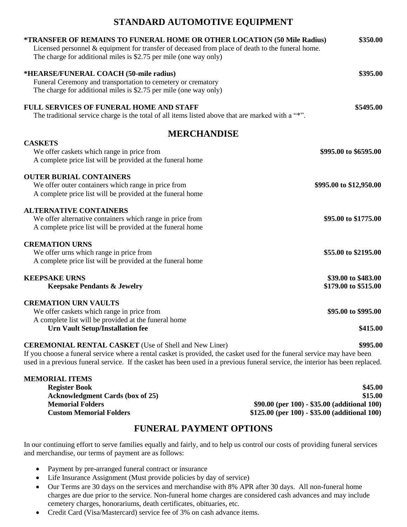# **STANDARD AUTOMOTIVE EQUIPMENT**

| *TRANSFER OF REMAINS TO FUNERAL HOME OR OTHER LOCATION (50 Mile Radius)<br>Licensed personnel & equipment for transfer of deceased from place of death to the funeral home.<br>The charge for additional miles is \$2.75 per mile (one way only) | \$350.00                |
|--------------------------------------------------------------------------------------------------------------------------------------------------------------------------------------------------------------------------------------------------|-------------------------|
| *HEARSE/FUNERAL COACH (50-mile radius)                                                                                                                                                                                                           | \$395.00                |
| Funeral Ceremony and transportation to cemetery or crematory                                                                                                                                                                                     |                         |
| The charge for additional miles is \$2.75 per mile (one way only)                                                                                                                                                                                |                         |
| <b>FULL SERVICES OF FUNERAL HOME AND STAFF</b>                                                                                                                                                                                                   | \$5495.00               |
| The traditional service charge is the total of all items listed above that are marked with a "*".                                                                                                                                                |                         |
| <b>MERCHANDISE</b>                                                                                                                                                                                                                               |                         |
| <b>CASKETS</b>                                                                                                                                                                                                                                   |                         |
| We offer caskets which range in price from                                                                                                                                                                                                       | \$995.00 to \$6595.00   |
| A complete price list will be provided at the funeral home                                                                                                                                                                                       |                         |
| <b>OUTER BURIAL CONTAINERS</b>                                                                                                                                                                                                                   |                         |
| We offer outer containers which range in price from                                                                                                                                                                                              | \$995.00 to \$12,950.00 |
| A complete price list will be provided at the funeral home                                                                                                                                                                                       |                         |
| <b>ALTERNATIVE CONTAINERS</b>                                                                                                                                                                                                                    |                         |
| We offer alternative containers which range in price from                                                                                                                                                                                        | \$95.00 to \$1775.00    |
| A complete price list will be provided at the funeral home                                                                                                                                                                                       |                         |
| <b>CREMATION URNS</b>                                                                                                                                                                                                                            |                         |
| We offer urns which range in price from                                                                                                                                                                                                          | \$55.00 to \$2195.00    |
| A complete price list will be provided at the funeral home                                                                                                                                                                                       |                         |
| <b>KEEPSAKE URNS</b>                                                                                                                                                                                                                             | \$39.00 to \$483.00     |
| <b>Keepsake Pendants &amp; Jewelry</b>                                                                                                                                                                                                           | \$179.00 to \$515.00    |
| <b>CREMATION URN VAULTS</b>                                                                                                                                                                                                                      |                         |
| We offer caskets which range in price from                                                                                                                                                                                                       | \$95.00 to \$995.00     |
| A complete list will be provided at the funeral home                                                                                                                                                                                             |                         |
| <b>Urn Vault Setup/Installation fee</b>                                                                                                                                                                                                          | \$415.00                |
| <b>CEREMONIAL RENTAL CASKET</b> (Use of Shell and New Liner)                                                                                                                                                                                     | \$995.00                |
| If you choose a funeral service where a rental casket is provided, the casket used for the funeral service may have been                                                                                                                         |                         |
| used in a previous funeral service. If the casket has been used in a previous funeral service, the interior has been replaced.                                                                                                                   |                         |

## **MEMORIAL ITEMS**

**Register Book** \$45.00 **Acknowledgment Cards** (box of 25) \$15.00 **Memorial Folders \$90.00 (per 100) - \$35.00 (additional 100) Custom Memorial Folders \$125.00 (per 100) - \$35.00 (additional 100)**

# **FUNERAL PAYMENT OPTIONS**

In our continuing effort to serve families equally and fairly, and to help us control our costs of providing funeral services and merchandise, our terms of payment are as follows:

- Payment by pre-arranged funeral contract or insurance
- Life Insurance Assignment (Must provide policies by day of service)
- Our Terms are 30 days on the services and merchandise with 8% APR after 30 days. All non-funeral home charges are due prior to the service. Non-funeral home charges are considered cash advances and may include cemetery charges, honorariums, death certificates, obituaries, etc.
- Credit Card (Visa/Mastercard) service fee of 3% on cash advance items.